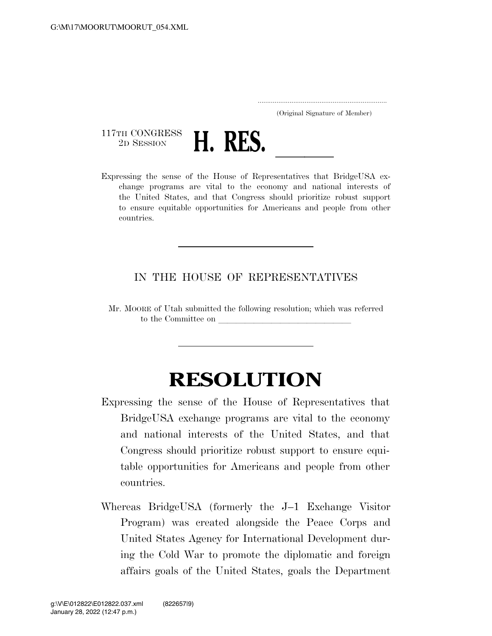..................................................................... (Original Signature of Member)

117TH CONGRESS<br>2D SESSION



2D SESSION **H. RES.** <u>Lexpressing</u> the sense of the House of Representatives that BridgeUSA exchange programs are vital to the economy and national interests of the United States, and that Congress should prioritize robust support to ensure equitable opportunities for Americans and people from other countries.

## IN THE HOUSE OF REPRESENTATIVES

Mr. MOORE of Utah submitted the following resolution; which was referred to the Committee on

## **RESOLUTION**

- Expressing the sense of the House of Representatives that BridgeUSA exchange programs are vital to the economy and national interests of the United States, and that Congress should prioritize robust support to ensure equitable opportunities for Americans and people from other countries.
- Whereas BridgeUSA (formerly the J–1 Exchange Visitor Program) was created alongside the Peace Corps and United States Agency for International Development during the Cold War to promote the diplomatic and foreign affairs goals of the United States, goals the Department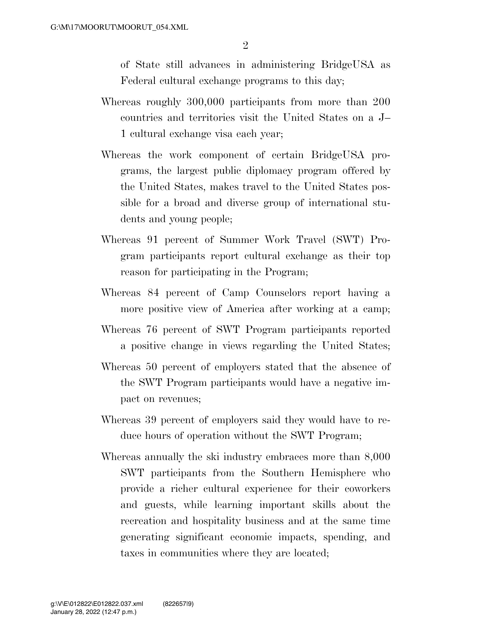of State still advances in administering BridgeUSA as Federal cultural exchange programs to this day;

- Whereas roughly 300,000 participants from more than 200 countries and territories visit the United States on a J– 1 cultural exchange visa each year;
- Whereas the work component of certain BridgeUSA programs, the largest public diplomacy program offered by the United States, makes travel to the United States possible for a broad and diverse group of international students and young people;
- Whereas 91 percent of Summer Work Travel (SWT) Program participants report cultural exchange as their top reason for participating in the Program;
- Whereas 84 percent of Camp Counselors report having a more positive view of America after working at a camp;
- Whereas 76 percent of SWT Program participants reported a positive change in views regarding the United States;
- Whereas 50 percent of employers stated that the absence of the SWT Program participants would have a negative impact on revenues;
- Whereas 39 percent of employers said they would have to reduce hours of operation without the SWT Program;
- Whereas annually the ski industry embraces more than 8,000 SWT participants from the Southern Hemisphere who provide a richer cultural experience for their coworkers and guests, while learning important skills about the recreation and hospitality business and at the same time generating significant economic impacts, spending, and taxes in communities where they are located;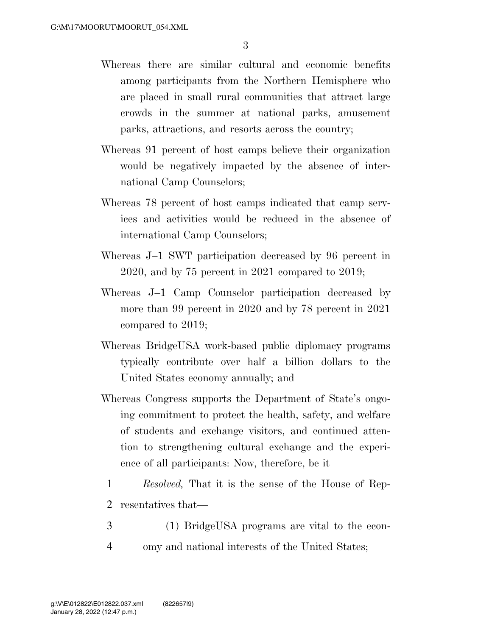- Whereas there are similar cultural and economic benefits among participants from the Northern Hemisphere who are placed in small rural communities that attract large crowds in the summer at national parks, amusement parks, attractions, and resorts across the country;
- Whereas 91 percent of host camps believe their organization would be negatively impacted by the absence of international Camp Counselors;
- Whereas 78 percent of host camps indicated that camp services and activities would be reduced in the absence of international Camp Counselors;
- Whereas J–1 SWT participation decreased by 96 percent in 2020, and by 75 percent in 2021 compared to 2019;
- Whereas J–1 Camp Counselor participation decreased by more than 99 percent in 2020 and by 78 percent in 2021 compared to 2019;
- Whereas BridgeUSA work-based public diplomacy programs typically contribute over half a billion dollars to the United States economy annually; and
- Whereas Congress supports the Department of State's ongoing commitment to protect the health, safety, and welfare of students and exchange visitors, and continued attention to strengthening cultural exchange and the experience of all participants: Now, therefore, be it
	- 1 *Resolved,* That it is the sense of the House of Rep-
	- 2 resentatives that—
- 3 (1) BridgeUSA programs are vital to the econ-4 omy and national interests of the United States;